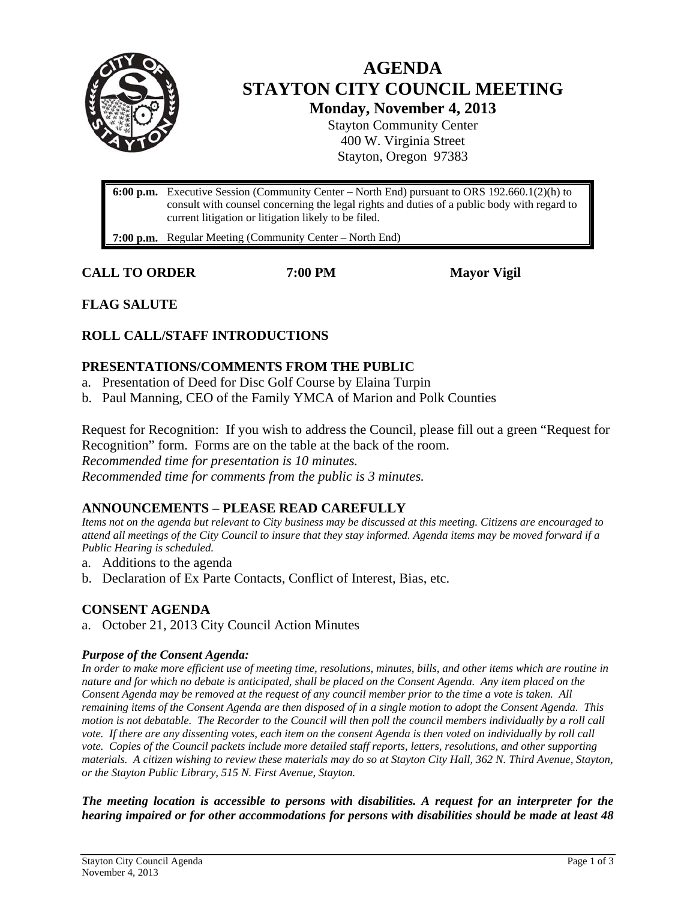

**AGENDA STAYTON CITY COUNCIL MEETING Monday, November 4, 2013**  Stayton Community Center 400 W. Virginia Street Stayton, Oregon 97383

**6:00 p.m.** Executive Session (Community Center – North End) pursuant to ORS 192.660.1(2)(h) to consult with counsel concerning the legal rights and duties of a public body with regard to current litigation or litigation likely to be filed.

**7:00 p.m.** Regular Meeting (Community Center – North End)

**CALL TO ORDER** 7:00 PM Mayor Vigil

### **FLAG SALUTE**

### **ROLL CALL/STAFF INTRODUCTIONS**

#### **PRESENTATIONS/COMMENTS FROM THE PUBLIC**

- a. Presentation of Deed for Disc Golf Course by Elaina Turpin
- b. Paul Manning, CEO of the Family YMCA of Marion and Polk Counties

Request for Recognition: If you wish to address the Council, please fill out a green "Request for Recognition" form. Forms are on the table at the back of the room. *Recommended time for presentation is 10 minutes.* 

*Recommended time for comments from the public is 3 minutes.* 

# **ANNOUNCEMENTS – PLEASE READ CAREFULLY**

*Items not on the agenda but relevant to City business may be discussed at this meeting. Citizens are encouraged to attend all meetings of the City Council to insure that they stay informed. Agenda items may be moved forward if a Public Hearing is scheduled.* 

- a. Additions to the agenda
- b. Declaration of Ex Parte Contacts, Conflict of Interest, Bias, etc.

#### **CONSENT AGENDA**

a. October 21, 2013 City Council Action Minutes

#### *Purpose of the Consent Agenda:*

*In order to make more efficient use of meeting time, resolutions, minutes, bills, and other items which are routine in nature and for which no debate is anticipated, shall be placed on the Consent Agenda. Any item placed on the Consent Agenda may be removed at the request of any council member prior to the time a vote is taken. All remaining items of the Consent Agenda are then disposed of in a single motion to adopt the Consent Agenda. This motion is not debatable. The Recorder to the Council will then poll the council members individually by a roll call vote. If there are any dissenting votes, each item on the consent Agenda is then voted on individually by roll call vote. Copies of the Council packets include more detailed staff reports, letters, resolutions, and other supporting materials. A citizen wishing to review these materials may do so at Stayton City Hall, 362 N. Third Avenue, Stayton, or the Stayton Public Library, 515 N. First Avenue, Stayton.* 

*The meeting location is accessible to persons with disabilities. A request for an interpreter for the hearing impaired or for other accommodations for persons with disabilities should be made at least 48*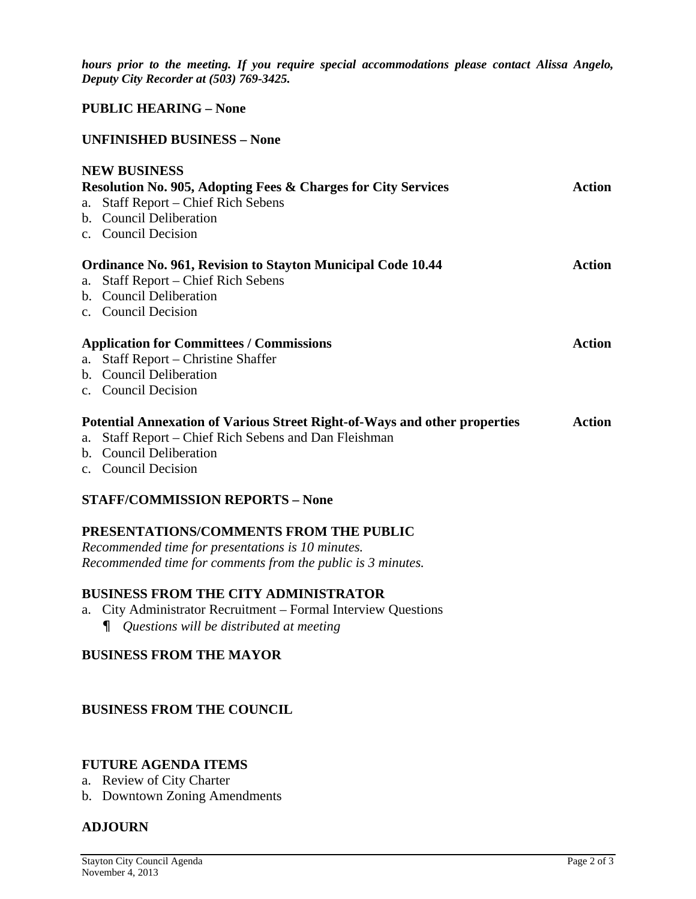*hours prior to the meeting. If you require special accommodations please contact Alissa Angelo, Deputy City Recorder at (503) 769-3425.* 

#### **PUBLIC HEARING – None**

#### **UNFINISHED BUSINESS – None**

| <b>NEW BUSINESS</b>                                                              |               |
|----------------------------------------------------------------------------------|---------------|
| <b>Resolution No. 905, Adopting Fees &amp; Charges for City Services</b>         | Action        |
| a. Staff Report – Chief Rich Sebens                                              |               |
| b. Council Deliberation                                                          |               |
| c. Council Decision                                                              |               |
| <b>Ordinance No. 961, Revision to Stayton Municipal Code 10.44</b>               | Action        |
| a. Staff Report – Chief Rich Sebens                                              |               |
| b. Council Deliberation                                                          |               |
| c. Council Decision                                                              |               |
| <b>Application for Committees / Commissions</b>                                  | <b>Action</b> |
| a. Staff Report – Christine Shaffer                                              |               |
| b. Council Deliberation                                                          |               |
| c. Council Decision                                                              |               |
| <b>Potential Annexation of Various Street Right-of-Ways and other properties</b> | Action        |
| a. Staff Report – Chief Rich Sebens and Dan Fleishman                            |               |
| b. Council Deliberation                                                          |               |
| c. Council Decision                                                              |               |
| <b>STAFF/COMMISSION REPORTS - None</b>                                           |               |

#### **PRESENTATIONS/COMMENTS FROM THE PUBLIC**

*Recommended time for presentations is 10 minutes. Recommended time for comments from the public is 3 minutes.*

#### **BUSINESS FROM THE CITY ADMINISTRATOR**

- a. City Administrator Recruitment Formal Interview Questions
	- *Questions will be distributed at meeting*

#### **BUSINESS FROM THE MAYOR**

#### **BUSINESS FROM THE COUNCIL**

#### **FUTURE AGENDA ITEMS**

- a. Review of City Charter
- b. Downtown Zoning Amendments

#### **ADJOURN**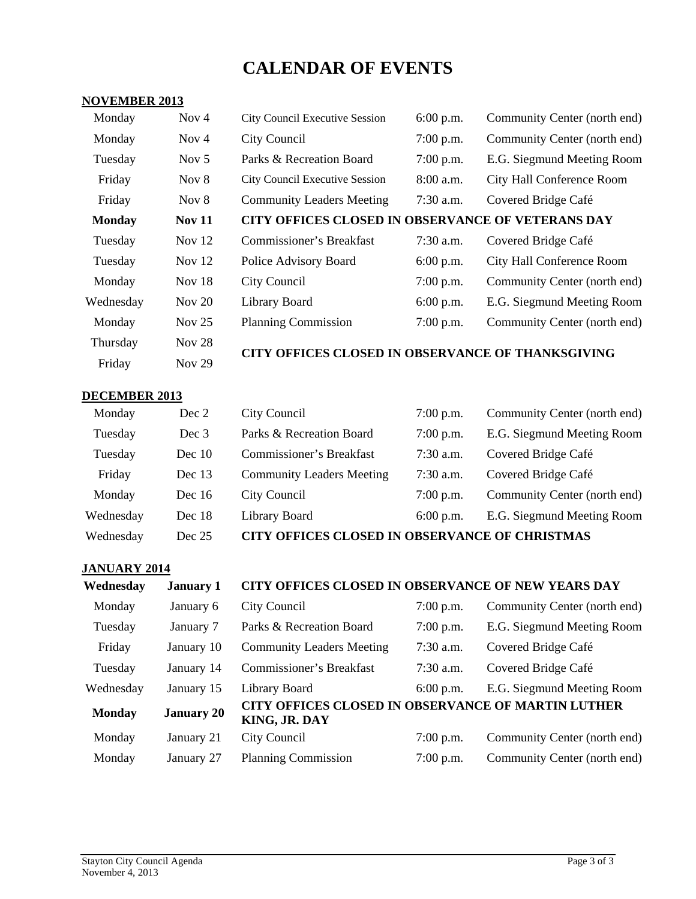# **CALENDAR OF EVENTS**

#### **NOVEMBER 2013**

| Monday        | Nov <sub>4</sub>          | <b>City Council Executive Session</b>             | 6:00 p.m.   | Community Center (north end)     |
|---------------|---------------------------|---------------------------------------------------|-------------|----------------------------------|
| Monday        | Nov $4$                   | City Council                                      | $7:00$ p.m. | Community Center (north end)     |
| Tuesday       | Nov 5                     | Parks & Recreation Board                          | $7:00$ p.m. | E.G. Siegmund Meeting Room       |
| Friday        | Nov $8$                   | <b>City Council Executive Session</b>             | $8:00$ a.m. | City Hall Conference Room        |
| Friday        | Nov 8                     | <b>Community Leaders Meeting</b>                  | $7:30$ a.m. | Covered Bridge Café              |
| <b>Monday</b> | <b>Nov 11</b>             | CITY OFFICES CLOSED IN OBSERVANCE OF VETERANS DAY |             |                                  |
| Tuesday       | Nov $12$                  | <b>Commissioner's Breakfast</b>                   | $7:30$ a.m. | Covered Bridge Café              |
| Tuesday       | Nov $12$                  | Police Advisory Board                             | $6:00$ p.m. | <b>City Hall Conference Room</b> |
| Monday        | Nov 18                    | City Council                                      | $7:00$ p.m. | Community Center (north end)     |
| Wednesday     | Nov $20$                  | Library Board                                     | $6:00$ p.m. | E.G. Siegmund Meeting Room       |
| Monday        | Nov $25$                  | <b>Planning Commission</b>                        | $7:00$ p.m. | Community Center (north end)     |
| Thursday      | Nov $28$                  | CITY OFFICES CLOSED IN OBSERVANCE OF THANKSGIVING |             |                                  |
| $\mathbf{r}$  | $\mathbf{r}$ $\mathbf{a}$ |                                                   |             |                                  |

#### **DECEMBER 2013**

Friday Nov 29

| Monday              | Dec 2    | City Council                              | $7:00$ p.m. | Community Center (north end) |
|---------------------|----------|-------------------------------------------|-------------|------------------------------|
| Tuesday             | Dec 3    | Parks & Recreation Board                  | $7:00$ p.m. | E.G. Siegmund Meeting Room   |
| Tuesday             | Dec $10$ | Commissioner's Breakfast                  | $7:30$ a.m. | Covered Bridge Café          |
| Friday              | Dec 13   | <b>Community Leaders Meeting</b>          | 7:30 a.m.   | Covered Bridge Café          |
| Monday              | Dec $16$ | City Council                              | $7:00$ p.m. | Community Center (north end) |
| Wednesday           | Dec 18   | Library Board                             | $6:00$ p.m. | E.G. Siegmund Meeting Room   |
| Wednesday<br>Dec 25 |          | DFFICES CLOSED IN OBSERVANCE OF CHRISTMAS |             |                              |

#### **JANUARY 2014**

# **Wednesday January 1 CITY OFFICES CLOSED IN OBSERVANCE OF NEW YEARS DAY**

| Monday                                                                                                    | January 6  | City Council                     | $7:00$ p.m. | Community Center (north end) |
|-----------------------------------------------------------------------------------------------------------|------------|----------------------------------|-------------|------------------------------|
| Tuesday                                                                                                   | January 7  | Parks & Recreation Board         | $7:00$ p.m. | E.G. Siegmund Meeting Room   |
| Friday                                                                                                    | January 10 | <b>Community Leaders Meeting</b> | $7:30$ a.m. | Covered Bridge Café          |
| Tuesday                                                                                                   | January 14 | <b>Commissioner's Breakfast</b>  | $7:30$ a.m. | Covered Bridge Café          |
| Wednesday                                                                                                 | January 15 | Library Board                    | $6:00$ p.m. | E.G. Siegmund Meeting Room   |
| CITY OFFICES CLOSED IN OBSERVANCE OF MARTIN LUTHER<br><b>January 20</b><br><b>Monday</b><br>KING, JR. DAY |            |                                  |             |                              |
| Monday                                                                                                    | January 21 | City Council                     | $7:00$ p.m. | Community Center (north end) |
| Monday                                                                                                    | January 27 | <b>Planning Commission</b>       | $7:00$ p.m. | Community Center (north end) |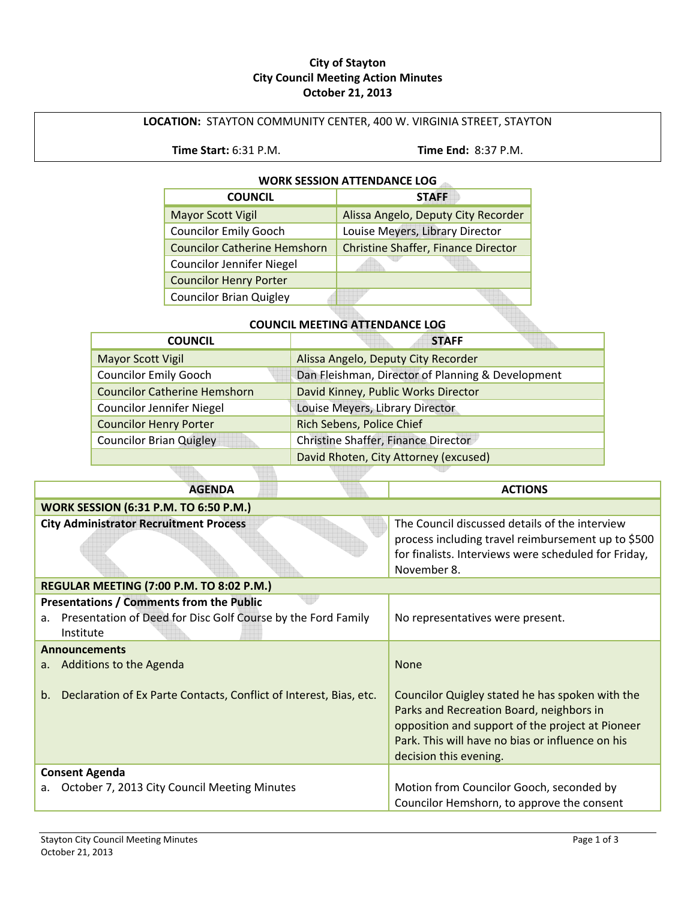#### **City of Stayton City Council Meeting Action Minutes October 21, 2013**

#### **LOCATION:** STAYTON COMMUNITY CENTER, 400 W. VIRGINIA STREET, STAYTON

#### **Time Start:** 6:31 P.M. **Time End:** 8:37 P.M.

#### **WORK SESSION ATTENDANCE LOG**

| <b>COUNCIL</b>                      | <b>STAFF</b>                               |
|-------------------------------------|--------------------------------------------|
| <b>Mayor Scott Vigil</b>            | Alissa Angelo, Deputy City Recorder        |
| <b>Councilor Emily Gooch</b>        | Louise Meyers, Library Director            |
| <b>Councilor Catherine Hemshorn</b> | <b>Christine Shaffer, Finance Director</b> |
| <b>Councilor Jennifer Niegel</b>    |                                            |
| <b>Councilor Henry Porter</b>       |                                            |
| <b>Councilor Brian Quigley</b>      |                                            |

| <b>COUNCIL MEETING ATTENDANCE LOG</b>                                 |                                                   |  |  |  |
|-----------------------------------------------------------------------|---------------------------------------------------|--|--|--|
| <b>STAFF</b><br><b>COUNCIL</b>                                        |                                                   |  |  |  |
| <b>Mayor Scott Vigil</b>                                              | Alissa Angelo, Deputy City Recorder               |  |  |  |
| <b>Councilor Emily Gooch</b>                                          | Dan Fleishman, Director of Planning & Development |  |  |  |
| <b>Councilor Catherine Hemshorn</b>                                   | David Kinney, Public Works Director               |  |  |  |
| <b>Councilor Jennifer Niegel</b>                                      | Louise Meyers, Library Director                   |  |  |  |
| <b>Councilor Henry Porter</b>                                         | Rich Sebens, Police Chief                         |  |  |  |
| Christine Shaffer, Finance Director<br><b>Councilor Brian Quigley</b> |                                                   |  |  |  |
| David Rhoten, City Attorney (excused)                                 |                                                   |  |  |  |
|                                                                       |                                                   |  |  |  |

| <b>AGENDA</b>                                                                                                               | <b>ACTIONS</b>                                                                                                                                                                                                                |
|-----------------------------------------------------------------------------------------------------------------------------|-------------------------------------------------------------------------------------------------------------------------------------------------------------------------------------------------------------------------------|
| <b>WORK SESSION (6:31 P.M. TO 6:50 P.M.)</b>                                                                                |                                                                                                                                                                                                                               |
| <b>City Administrator Recruitment Process</b>                                                                               | The Council discussed details of the interview<br>process including travel reimbursement up to \$500<br>for finalists. Interviews were scheduled for Friday,<br>November 8.                                                   |
| REGULAR MEETING (7:00 P.M. TO 8:02 P.M.)                                                                                    |                                                                                                                                                                                                                               |
| Presentations / Comments from the Public<br>Presentation of Deed for Disc Golf Course by the Ford Family<br>a.<br>Institute | No representatives were present.                                                                                                                                                                                              |
| <b>Announcements</b>                                                                                                        |                                                                                                                                                                                                                               |
| a. Additions to the Agenda                                                                                                  | <b>None</b>                                                                                                                                                                                                                   |
| Declaration of Ex Parte Contacts, Conflict of Interest, Bias, etc.<br>$b_{\cdot}$                                           | Councilor Quigley stated he has spoken with the<br>Parks and Recreation Board, neighbors in<br>opposition and support of the project at Pioneer<br>Park. This will have no bias or influence on his<br>decision this evening. |
| <b>Consent Agenda</b>                                                                                                       |                                                                                                                                                                                                                               |
| October 7, 2013 City Council Meeting Minutes<br>a.                                                                          | Motion from Councilor Gooch, seconded by<br>Councilor Hemshorn, to approve the consent                                                                                                                                        |
|                                                                                                                             |                                                                                                                                                                                                                               |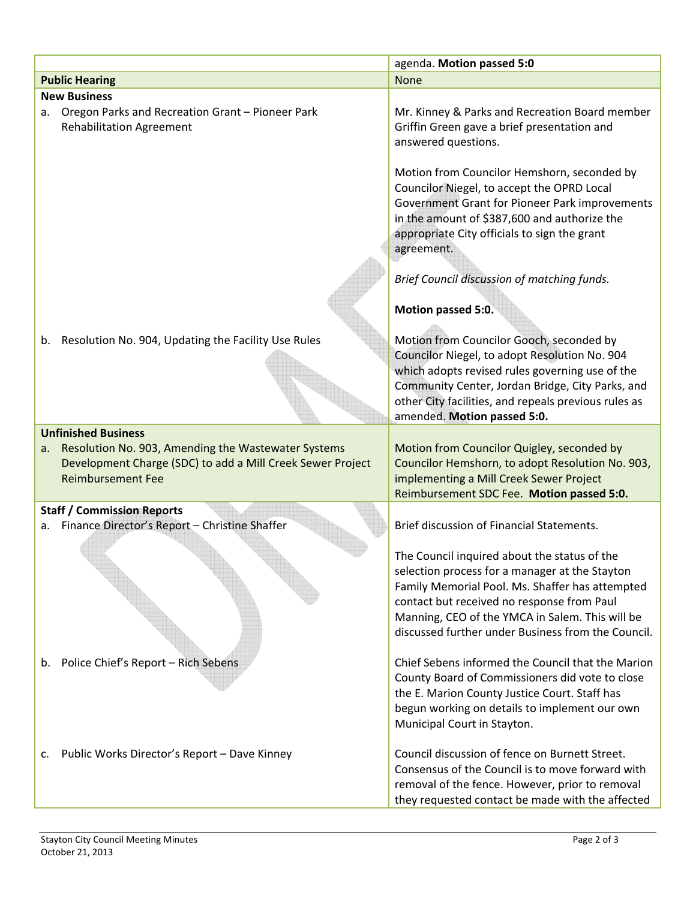|                                                                                        | agenda. Motion passed 5:0                                                                                                                                                                                                                                 |
|----------------------------------------------------------------------------------------|-----------------------------------------------------------------------------------------------------------------------------------------------------------------------------------------------------------------------------------------------------------|
| <b>Public Hearing</b>                                                                  | None                                                                                                                                                                                                                                                      |
| <b>New Business</b>                                                                    |                                                                                                                                                                                                                                                           |
| a. Oregon Parks and Recreation Grant - Pioneer Park<br><b>Rehabilitation Agreement</b> | Mr. Kinney & Parks and Recreation Board member<br>Griffin Green gave a brief presentation and<br>answered questions.                                                                                                                                      |
|                                                                                        | Motion from Councilor Hemshorn, seconded by<br>Councilor Niegel, to accept the OPRD Local<br>Government Grant for Pioneer Park improvements<br>in the amount of \$387,600 and authorize the<br>appropriate City officials to sign the grant<br>agreement. |
|                                                                                        | Brief Council discussion of matching funds.<br>Motion passed 5:0.                                                                                                                                                                                         |
|                                                                                        |                                                                                                                                                                                                                                                           |
| Resolution No. 904, Updating the Facility Use Rules<br>b.                              | Motion from Councilor Gooch, seconded by                                                                                                                                                                                                                  |
|                                                                                        | Councilor Niegel, to adopt Resolution No. 904<br>which adopts revised rules governing use of the                                                                                                                                                          |
|                                                                                        | Community Center, Jordan Bridge, City Parks, and                                                                                                                                                                                                          |
|                                                                                        | other City facilities, and repeals previous rules as                                                                                                                                                                                                      |
|                                                                                        | amended. Motion passed 5:0.                                                                                                                                                                                                                               |
| <b>Unfinished Business</b>                                                             |                                                                                                                                                                                                                                                           |
| Resolution No. 903, Amending the Wastewater Systems<br>a.                              | Motion from Councilor Quigley, seconded by                                                                                                                                                                                                                |
| Development Charge (SDC) to add a Mill Creek Sewer Project                             | Councilor Hemshorn, to adopt Resolution No. 903,                                                                                                                                                                                                          |
| <b>Reimbursement Fee</b>                                                               | implementing a Mill Creek Sewer Project<br>Reimbursement SDC Fee. Motion passed 5:0.                                                                                                                                                                      |
| <b>Staff / Commission Reports</b>                                                      |                                                                                                                                                                                                                                                           |
| Finance Director's Report - Christine Shaffer<br>a.                                    | Brief discussion of Financial Statements.                                                                                                                                                                                                                 |
|                                                                                        | The Council inquired about the status of the                                                                                                                                                                                                              |
|                                                                                        | selection process for a manager at the Stayton                                                                                                                                                                                                            |
|                                                                                        | Family Memorial Pool. Ms. Shaffer has attempted                                                                                                                                                                                                           |
|                                                                                        | contact but received no response from Paul                                                                                                                                                                                                                |
|                                                                                        | Manning, CEO of the YMCA in Salem. This will be                                                                                                                                                                                                           |
|                                                                                        | discussed further under Business from the Council.                                                                                                                                                                                                        |
| Police Chief's Report - Rich Sebens<br>b.                                              | Chief Sebens informed the Council that the Marion                                                                                                                                                                                                         |
|                                                                                        | County Board of Commissioners did vote to close                                                                                                                                                                                                           |
|                                                                                        | the E. Marion County Justice Court. Staff has                                                                                                                                                                                                             |
|                                                                                        | begun working on details to implement our own                                                                                                                                                                                                             |
|                                                                                        | Municipal Court in Stayton.                                                                                                                                                                                                                               |
| Public Works Director's Report - Dave Kinney<br>c.                                     | Council discussion of fence on Burnett Street.                                                                                                                                                                                                            |
|                                                                                        | Consensus of the Council is to move forward with                                                                                                                                                                                                          |
|                                                                                        | removal of the fence. However, prior to removal                                                                                                                                                                                                           |
|                                                                                        | they requested contact be made with the affected                                                                                                                                                                                                          |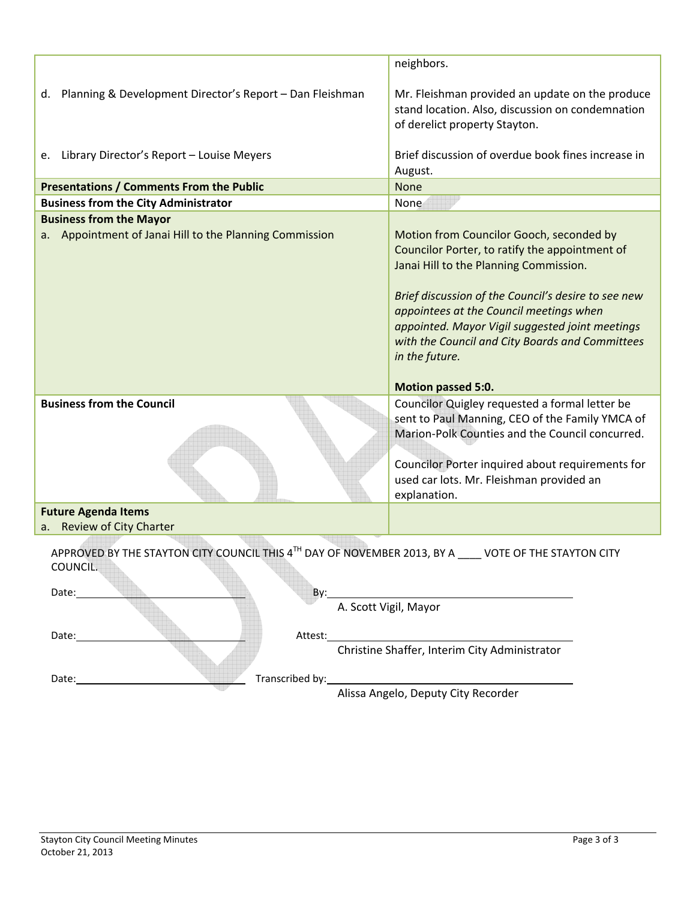| d. Planning & Development Director's Report - Dan Fleishman                                                                          | neighbors.<br>Mr. Fleishman provided an update on the produce<br>stand location. Also, discussion on condemnation<br>of derelict property Stayton.                                                                                                                                                                                                             |
|--------------------------------------------------------------------------------------------------------------------------------------|----------------------------------------------------------------------------------------------------------------------------------------------------------------------------------------------------------------------------------------------------------------------------------------------------------------------------------------------------------------|
| Library Director's Report - Louise Meyers<br>e.                                                                                      | Brief discussion of overdue book fines increase in<br>August.                                                                                                                                                                                                                                                                                                  |
| <b>Presentations / Comments From the Public</b>                                                                                      | <b>None</b>                                                                                                                                                                                                                                                                                                                                                    |
| <b>Business from the City Administrator</b>                                                                                          | None                                                                                                                                                                                                                                                                                                                                                           |
| <b>Business from the Mayor</b>                                                                                                       |                                                                                                                                                                                                                                                                                                                                                                |
| a. Appointment of Janai Hill to the Planning Commission                                                                              | Motion from Councilor Gooch, seconded by<br>Councilor Porter, to ratify the appointment of<br>Janai Hill to the Planning Commission.<br>Brief discussion of the Council's desire to see new<br>appointees at the Council meetings when<br>appointed. Mayor Vigil suggested joint meetings<br>with the Council and City Boards and Committees<br>in the future. |
|                                                                                                                                      | <b>Motion passed 5:0.</b>                                                                                                                                                                                                                                                                                                                                      |
| <b>Business from the Council</b>                                                                                                     | Councilor Quigley requested a formal letter be<br>sent to Paul Manning, CEO of the Family YMCA of<br>Marion-Polk Counties and the Council concurred.<br>Councilor Porter inquired about requirements for<br>used car lots. Mr. Fleishman provided an<br>explanation.                                                                                           |
| <b>Future Agenda Items</b><br>Review of City Charter<br>a.                                                                           |                                                                                                                                                                                                                                                                                                                                                                |
| APPROVED BY THE STAYTON CITY COUNCIL THIS 4TH DAY OF NOVEMBER 2013, BY A ____ VOTE OF THE STAYTON CITY<br>COUNCIL.<br>Date:<br>Date: | By: A. Scott Vigil, Mayor<br>Christine Shaffer, Interim City Administrator                                                                                                                                                                                                                                                                                     |
| Date:                                                                                                                                |                                                                                                                                                                                                                                                                                                                                                                |

Alissa Angelo, Deputy City Recorder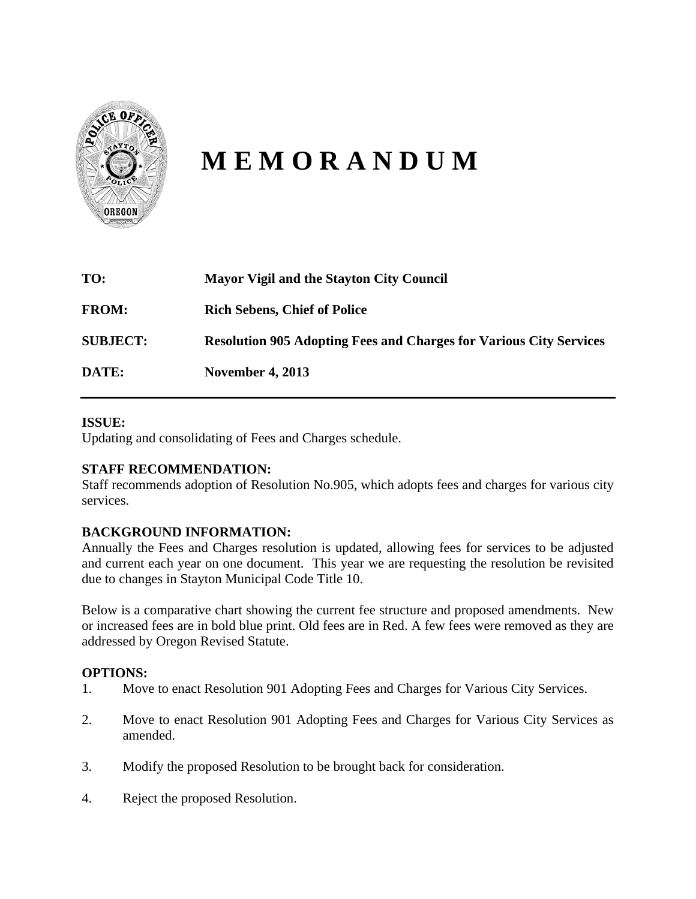

# **M E M O R A N D U M**

| TO:             | <b>Mayor Vigil and the Stayton City Council</b>                           |
|-----------------|---------------------------------------------------------------------------|
| <b>FROM:</b>    | <b>Rich Sebens, Chief of Police</b>                                       |
| <b>SUBJECT:</b> | <b>Resolution 905 Adopting Fees and Charges for Various City Services</b> |
| DATE:           | <b>November 4, 2013</b>                                                   |

### **ISSUE:**

Updating and consolidating of Fees and Charges schedule.

#### **STAFF RECOMMENDATION:**

Staff recommends adoption of Resolution No.905, which adopts fees and charges for various city services.

#### **BACKGROUND INFORMATION:**

Annually the Fees and Charges resolution is updated, allowing fees for services to be adjusted and current each year on one document. This year we are requesting the resolution be revisited due to changes in Stayton Municipal Code Title 10.

Below is a comparative chart showing the current fee structure and proposed amendments. New or increased fees are in bold blue print. Old fees are in Red. A few fees were removed as they are addressed by Oregon Revised Statute.

#### **OPTIONS:**

- 1. Move to enact Resolution 901 Adopting Fees and Charges for Various City Services.
- 2. Move to enact Resolution 901 Adopting Fees and Charges for Various City Services as amended.
- 3. Modify the proposed Resolution to be brought back for consideration.
- 4. Reject the proposed Resolution.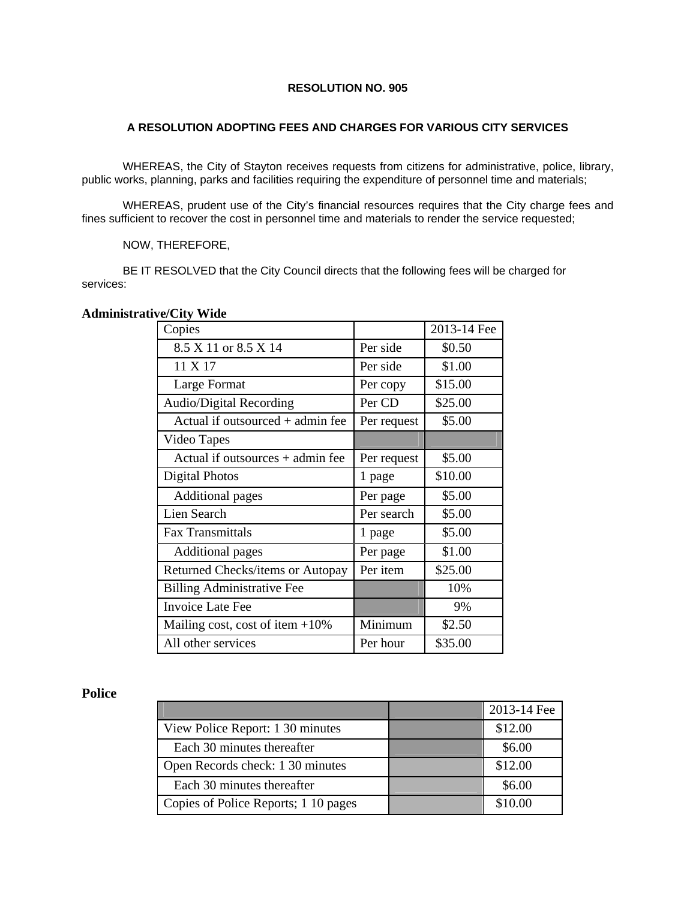#### **RESOLUTION NO. 905**

#### **A RESOLUTION ADOPTING FEES AND CHARGES FOR VARIOUS CITY SERVICES**

WHEREAS, the City of Stayton receives requests from citizens for administrative, police, library, public works, planning, parks and facilities requiring the expenditure of personnel time and materials;

WHEREAS, prudent use of the City's financial resources requires that the City charge fees and fines sufficient to recover the cost in personnel time and materials to render the service requested;

#### NOW, THEREFORE,

BE IT RESOLVED that the City Council directs that the following fees will be charged for services:

| Copies                             |             | 2013-14 Fee |
|------------------------------------|-------------|-------------|
| 8.5 X 11 or 8.5 X 14               | Per side    | \$0.50      |
| 11 X 17                            | Per side    | \$1.00      |
| Large Format                       | Per copy    | \$15.00     |
| Audio/Digital Recording            | Per CD      | \$25.00     |
| Actual if outsourced + admin fee   | Per request | \$5.00      |
| Video Tapes                        |             |             |
| Actual if outsources $+$ admin fee | Per request | \$5.00      |
| Digital Photos                     | 1 page      | \$10.00     |
| <b>Additional pages</b>            | Per page    | \$5.00      |
| Lien Search                        | Per search  | \$5.00      |
| <b>Fax Transmittals</b>            | 1 page      | \$5.00      |
| <b>Additional pages</b>            | Per page    | \$1.00      |
| Returned Checks/items or Autopay   | Per item    | \$25.00     |
| <b>Billing Administrative Fee</b>  |             | 10%         |
| <b>Invoice Late Fee</b>            |             | 9%          |
| Mailing cost, cost of item $+10\%$ | Minimum     | \$2.50      |
| All other services                 | Per hour    | \$35.00     |

#### **Administrative/City Wide**

#### **Police**

|                                      | 2013-14 Fee |
|--------------------------------------|-------------|
| View Police Report: 1 30 minutes     | \$12.00     |
| Each 30 minutes thereafter           | \$6.00      |
| Open Records check: 1 30 minutes     | \$12.00     |
| Each 30 minutes thereafter           | \$6.00      |
| Copies of Police Reports; 1 10 pages | \$10.00     |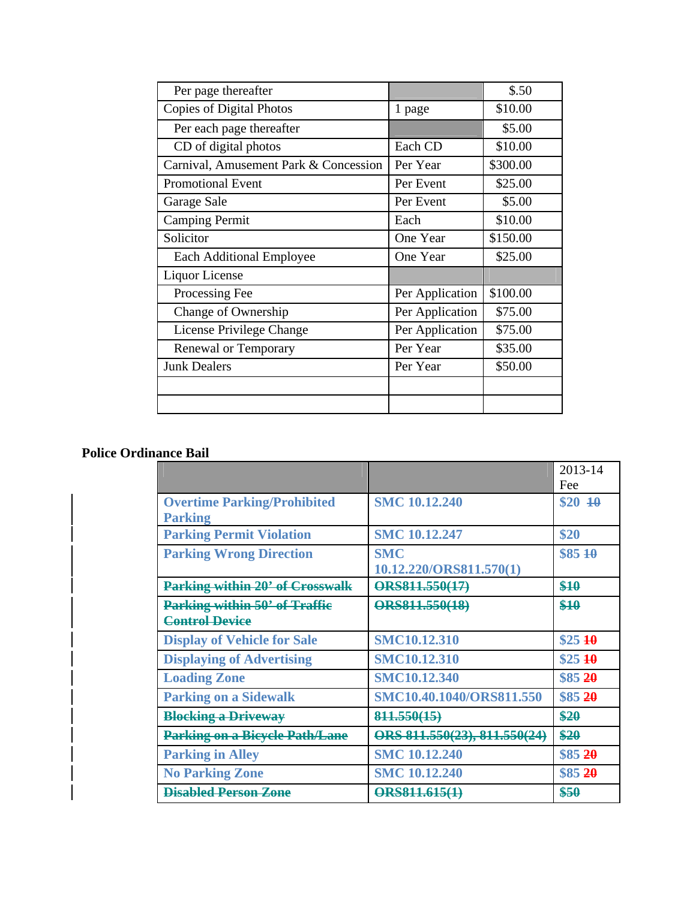| Per page thereafter                   |                 | \$.50    |
|---------------------------------------|-----------------|----------|
| <b>Copies of Digital Photos</b>       | 1 page          | \$10.00  |
| Per each page thereafter              |                 | \$5.00   |
| CD of digital photos                  | Each CD         | \$10.00  |
| Carnival, Amusement Park & Concession | Per Year        | \$300.00 |
| <b>Promotional Event</b>              | Per Event       | \$25.00  |
| Garage Sale                           | Per Event       | \$5.00   |
| <b>Camping Permit</b>                 | Each            | \$10.00  |
| Solicitor                             | One Year        | \$150.00 |
| <b>Each Additional Employee</b>       | One Year        | \$25.00  |
| Liquor License                        |                 |          |
| Processing Fee                        | Per Application | \$100.00 |
| Change of Ownership                   | Per Application | \$75.00  |
| License Privilege Change              | Per Application | \$75.00  |
| <b>Renewal or Temporary</b>           | Per Year        | \$35.00  |
| <b>Junk Dealers</b>                   | Per Year        | \$50.00  |
|                                       |                 |          |
|                                       |                 |          |

# **Police Ordinance Bail**

|                                        |                              | 2013-14     |
|----------------------------------------|------------------------------|-------------|
|                                        |                              | Fee         |
| <b>Overtime Parking/Prohibited</b>     | <b>SMC 10.12.240</b>         | $$20 \; 10$ |
| <b>Parking</b>                         |                              |             |
| <b>Parking Permit Violation</b>        | <b>SMC 10.12.247</b>         | \$20        |
| <b>Parking Wrong Direction</b>         | <b>SMC</b>                   | \$8540      |
|                                        | 10.12.220/ORS811.570(1)      |             |
| <b>Parking within 20' of Crosswalk</b> | ORS811.550(17)               | \$10        |
| Parking within 50' of Traffie          | ORS811.550(18)               | \$10        |
| <b>Control Device</b>                  |                              |             |
| <b>Display of Vehicle for Sale</b>     | <b>SMC10.12.310</b>          | \$2510      |
| <b>Displaying of Advertising</b>       | <b>SMC10.12.310</b>          | \$2510      |
| <b>Loading Zone</b>                    | <b>SMC10.12.340</b>          | \$85 20     |
| <b>Parking on a Sidewalk</b>           | SMC10.40.1040/ORS811.550     | \$85 20     |
| <b>Blocking a Driveway</b>             | 811.550(15)                  | \$20        |
| <b>Parking on a Bicycle Path/Lane</b>  | ORS 811,550(23), 811,550(24) | \$20        |
| <b>Parking in Alley</b>                | <b>SMC 10.12.240</b>         | \$85 20     |
| <b>No Parking Zone</b>                 | <b>SMC 10.12.240</b>         | \$85 20     |
| <b>Disabled Person Zone</b>            | ORS811.615(1)                | \$50        |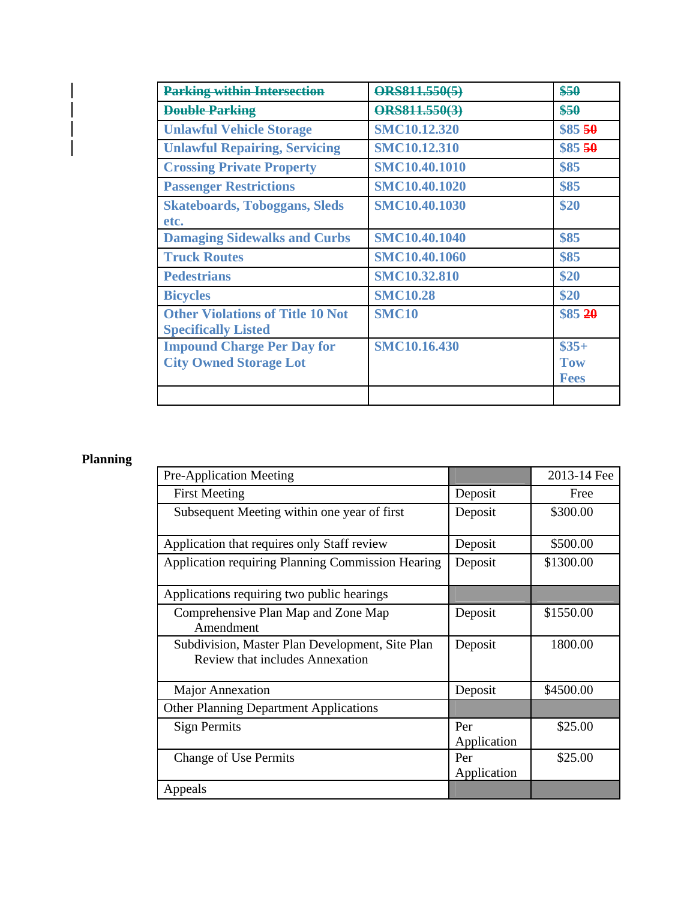| <b>Parking within Intersection</b>      | ORS811.550(5)        | \$50        |
|-----------------------------------------|----------------------|-------------|
| <b>Double Parking</b>                   | ORS811.550(3)        | \$50        |
| <b>Unlawful Vehicle Storage</b>         | <b>SMC10.12.320</b>  | \$8550      |
| <b>Unlawful Repairing, Servicing</b>    | <b>SMC10.12.310</b>  | \$8550      |
| <b>Crossing Private Property</b>        | <b>SMC10.40.1010</b> | \$85        |
| <b>Passenger Restrictions</b>           | <b>SMC10.40.1020</b> | \$85        |
| <b>Skateboards, Toboggans, Sleds</b>    | <b>SMC10.40.1030</b> | \$20        |
| etc.                                    |                      |             |
| <b>Damaging Sidewalks and Curbs</b>     | <b>SMC10.40.1040</b> | \$85        |
| <b>Truck Routes</b>                     | <b>SMC10.40.1060</b> | \$85        |
| <b>Pedestrians</b>                      | <b>SMC10.32.810</b>  | \$20        |
| <b>Bicycles</b>                         | <b>SMC10.28</b>      | \$20        |
| <b>Other Violations of Title 10 Not</b> | <b>SMC10</b>         | \$8520      |
| <b>Specifically Listed</b>              |                      |             |
| <b>Impound Charge Per Day for</b>       | <b>SMC10.16.430</b>  | $\$35+$     |
| <b>City Owned Storage Lot</b>           |                      | <b>Tow</b>  |
|                                         |                      | <b>Fees</b> |
|                                         |                      |             |

# **Planning**

 $\begin{array}{c} | \\ | \\ | \end{array}$ 

| Pre-Application Meeting                                                                   |                    | 2013-14 Fee |
|-------------------------------------------------------------------------------------------|--------------------|-------------|
| <b>First Meeting</b>                                                                      | Deposit            | Free        |
| Subsequent Meeting within one year of first                                               | Deposit            | \$300.00    |
| Application that requires only Staff review                                               | Deposit            | \$500.00    |
| Application requiring Planning Commission Hearing                                         | Deposit            | \$1300.00   |
| Applications requiring two public hearings                                                |                    |             |
| Comprehensive Plan Map and Zone Map<br>Amendment                                          | Deposit            | \$1550.00   |
| Subdivision, Master Plan Development, Site Plan<br><b>Review that includes Annexation</b> | Deposit            | 1800.00     |
| <b>Major Annexation</b>                                                                   | Deposit            | \$4500.00   |
| <b>Other Planning Department Applications</b>                                             |                    |             |
| Sign Permits                                                                              | Per<br>Application | \$25.00     |
| <b>Change of Use Permits</b>                                                              | Per<br>Application | \$25.00     |
| Appeals                                                                                   |                    |             |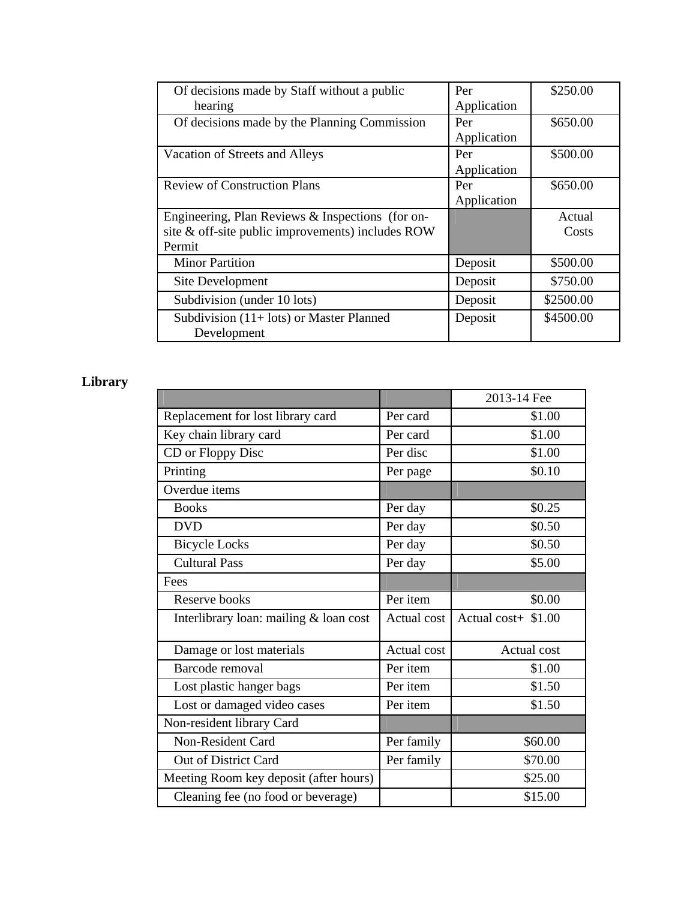| Of decisions made by Staff without a public         | Per         | \$250.00  |
|-----------------------------------------------------|-------------|-----------|
| hearing                                             | Application |           |
| Of decisions made by the Planning Commission        | Per         | \$650.00  |
|                                                     | Application |           |
| Vacation of Streets and Alleys                      | Per         | \$500.00  |
|                                                     | Application |           |
| <b>Review of Construction Plans</b>                 | Per         | \$650.00  |
|                                                     | Application |           |
| Engineering, Plan Reviews & Inspections (for on-    |             | Actual    |
| site & off-site public improvements) includes ROW   |             | Costs     |
| Permit                                              |             |           |
| <b>Minor Partition</b>                              | Deposit     | \$500.00  |
| Site Development                                    | Deposit     | \$750.00  |
| Subdivision (under 10 lots)                         | Deposit     | \$2500.00 |
| Subdivision $(11 + \text{ lots})$ or Master Planned | Deposit     | \$4500.00 |
| Development                                         |             |           |

# **Library**

|                                          |             | 2013-14 Fee         |
|------------------------------------------|-------------|---------------------|
| Replacement for lost library card        | Per card    | \$1.00              |
| Key chain library card                   | Per card    | \$1.00              |
| CD or Floppy Disc                        | Per disc    | \$1.00              |
| Printing                                 | Per page    | \$0.10              |
| Overdue items                            |             |                     |
| <b>Books</b>                             | Per day     | \$0.25              |
| <b>DVD</b>                               | Per day     | \$0.50              |
| <b>Bicycle Locks</b>                     | Per day     | \$0.50              |
| <b>Cultural Pass</b>                     | Per day     | \$5.00              |
| Fees                                     |             |                     |
| Reserve books                            | Per item    | \$0.00              |
| Interlibrary loan: mailing $&$ loan cost | Actual cost | Actual cost+ \$1.00 |
| Damage or lost materials                 | Actual cost | Actual cost         |
| Barcode removal                          | Per item    | \$1.00              |
| Lost plastic hanger bags                 | Per item    | \$1.50              |
| Lost or damaged video cases              | Per item    | \$1.50              |
| Non-resident library Card                |             |                     |
| Non-Resident Card                        | Per family  | \$60.00             |
| Out of District Card                     | Per family  | \$70.00             |
| Meeting Room key deposit (after hours)   |             | \$25.00             |
| Cleaning fee (no food or beverage)       |             | \$15.00             |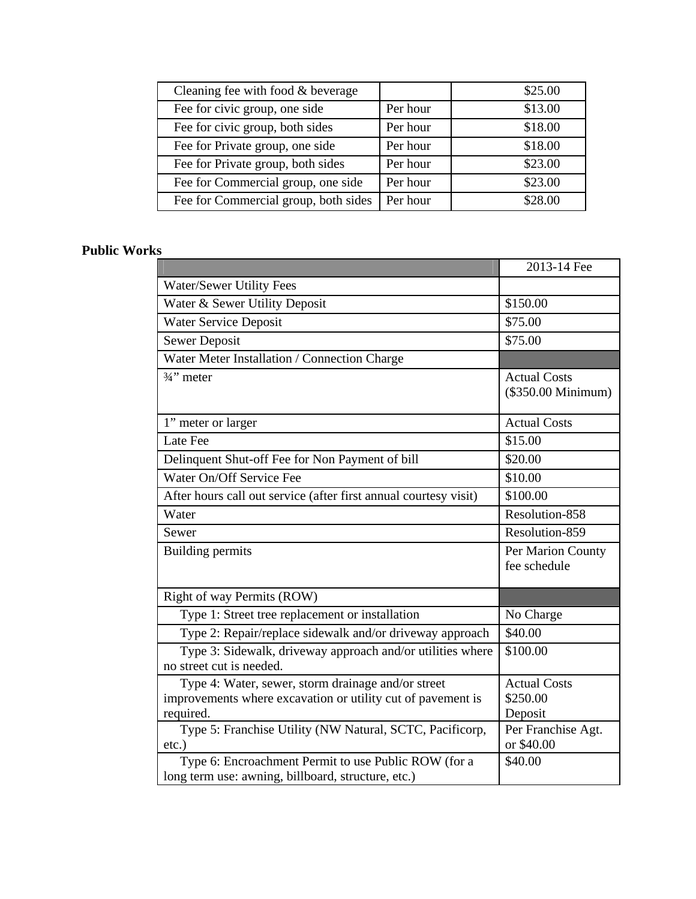| Cleaning fee with food $&$ beverage  |          | \$25.00 |
|--------------------------------------|----------|---------|
| Fee for civic group, one side        | Per hour | \$13.00 |
| Fee for civic group, both sides      | Per hour | \$18.00 |
| Fee for Private group, one side      | Per hour | \$18.00 |
| Fee for Private group, both sides    | Per hour | \$23.00 |
| Fee for Commercial group, one side   | Per hour | \$23.00 |
| Fee for Commercial group, both sides | Per hour | \$28.00 |

#### **Public Works**

|                                                                                                            | 2013-14 Fee                               |
|------------------------------------------------------------------------------------------------------------|-------------------------------------------|
| Water/Sewer Utility Fees                                                                                   |                                           |
| Water & Sewer Utility Deposit                                                                              | \$150.00                                  |
| <b>Water Service Deposit</b>                                                                               | \$75.00                                   |
| <b>Sewer Deposit</b>                                                                                       | \$75.00                                   |
| Water Meter Installation / Connection Charge                                                               |                                           |
| $\frac{3}{4}$ " meter                                                                                      | <b>Actual Costs</b><br>(\$350.00 Minimum) |
| 1" meter or larger                                                                                         | <b>Actual Costs</b>                       |
| Late Fee                                                                                                   | \$15.00                                   |
| Delinquent Shut-off Fee for Non Payment of bill                                                            | \$20.00                                   |
| Water On/Off Service Fee                                                                                   | \$10.00                                   |
| After hours call out service (after first annual courtesy visit)                                           | \$100.00                                  |
| Water                                                                                                      | Resolution-858                            |
| Sewer                                                                                                      | Resolution-859                            |
| <b>Building permits</b>                                                                                    | Per Marion County<br>fee schedule         |
| Right of way Permits (ROW)                                                                                 |                                           |
| Type 1: Street tree replacement or installation                                                            | No Charge                                 |
| Type 2: Repair/replace sidewalk and/or driveway approach                                                   | \$40.00                                   |
| Type 3: Sidewalk, driveway approach and/or utilities where<br>no street cut is needed.                     | \$100.00                                  |
| Type 4: Water, sewer, storm drainage and/or street                                                         | <b>Actual Costs</b>                       |
| improvements where excavation or utility cut of pavement is                                                | \$250.00                                  |
| required.                                                                                                  | Deposit                                   |
| Type 5: Franchise Utility (NW Natural, SCTC, Pacificorp,<br>$etc.$ )                                       | Per Franchise Agt.<br>or \$40.00          |
|                                                                                                            | \$40.00                                   |
| Type 6: Encroachment Permit to use Public ROW (for a<br>long term use: awning, billboard, structure, etc.) |                                           |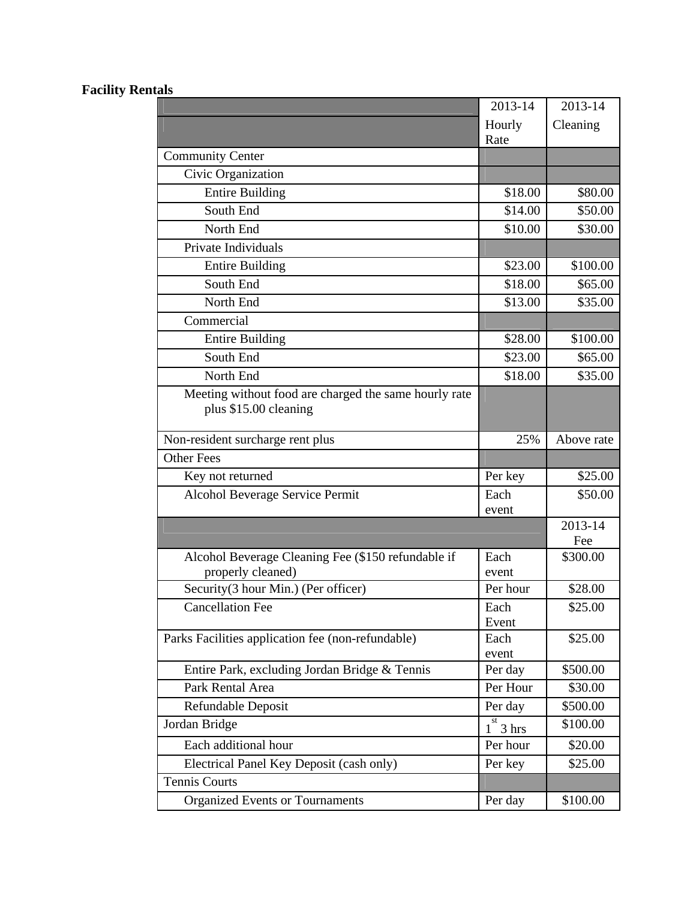# **Facility Rentals**

|                                                       | 2013-14              | 2013-14        |
|-------------------------------------------------------|----------------------|----------------|
|                                                       | Hourly               | Cleaning       |
|                                                       | Rate                 |                |
| <b>Community Center</b>                               |                      |                |
| Civic Organization                                    |                      |                |
| <b>Entire Building</b>                                | \$18.00              | \$80.00        |
| South End                                             | \$14.00              | \$50.00        |
| North End                                             | \$10.00              | \$30.00        |
| Private Individuals                                   |                      |                |
| <b>Entire Building</b>                                | \$23.00              | \$100.00       |
| South End                                             | \$18.00              | \$65.00        |
| North End                                             | \$13.00              | \$35.00        |
| Commercial                                            |                      |                |
| <b>Entire Building</b>                                | \$28.00              | \$100.00       |
| South End                                             | \$23.00              | \$65.00        |
| North End                                             | \$18.00              | \$35.00        |
| Meeting without food are charged the same hourly rate |                      |                |
| plus \$15.00 cleaning                                 |                      |                |
| Non-resident surcharge rent plus                      | 25%                  | Above rate     |
| <b>Other Fees</b>                                     |                      |                |
| Key not returned                                      | Per key              | \$25.00        |
| Alcohol Beverage Service Permit                       | Each                 | \$50.00        |
|                                                       | event                |                |
|                                                       |                      | 2013-14<br>Fee |
| Alcohol Beverage Cleaning Fee (\$150 refundable if    | Each                 | \$300.00       |
| properly cleaned)                                     | event                |                |
| Security(3 hour Min.) (Per officer)                   | Per hour             | \$28.00        |
| <b>Cancellation Fee</b>                               | Each<br>Event        | \$25.00        |
| Parks Facilities application fee (non-refundable)     | Each                 | \$25.00        |
|                                                       | event                |                |
| Entire Park, excluding Jordan Bridge & Tennis         | Per day              | \$500.00       |
| Park Rental Area                                      | Per Hour             | \$30.00        |
| Refundable Deposit                                    | Per day              | \$500.00       |
| Jordan Bridge                                         | st<br>$1^{31}$ 3 hrs | \$100.00       |
| Each additional hour                                  | Per hour             | \$20.00        |
| Electrical Panel Key Deposit (cash only)              | Per key              | \$25.00        |
| <b>Tennis Courts</b>                                  |                      |                |
| <b>Organized Events or Tournaments</b>                | Per day              | \$100.00       |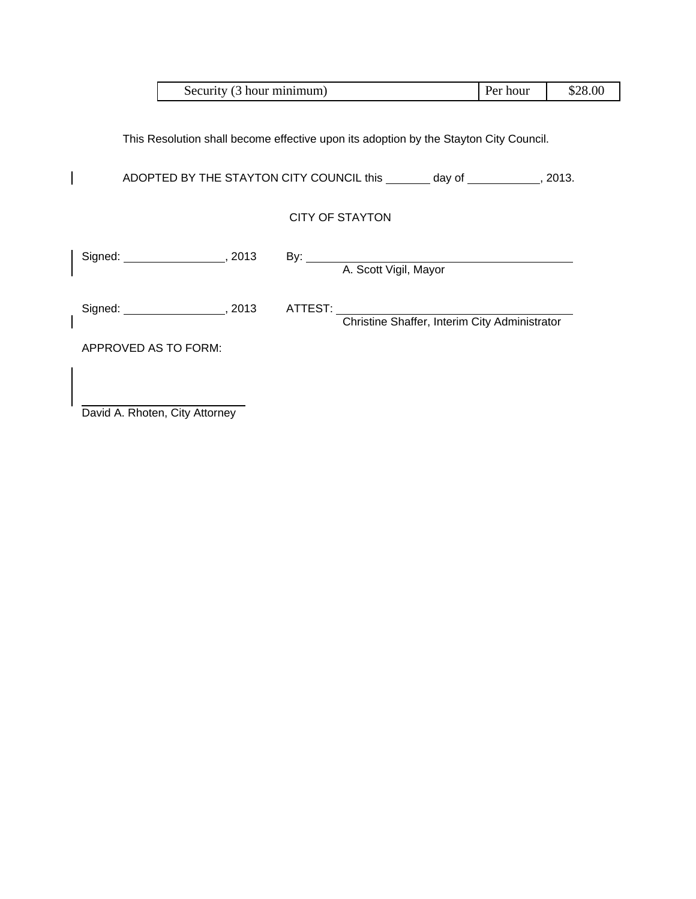| Security (3 hour minimum)                                                             | Per hour | \$28.00 |
|---------------------------------------------------------------------------------------|----------|---------|
| This Resolution shall become effective upon its adoption by the Stayton City Council. |          |         |
| <b>CITY OF STAYTON</b>                                                                |          |         |
| Signed: ___________________, 2013<br>By: <u>A. Scott Vigil, Mayor</u>                 |          |         |
| Christine Shaffer, Interim City Administrator                                         |          |         |
| APPROVED AS TO FORM:                                                                  |          |         |
| David A. Rhoten, City Attorney                                                        |          |         |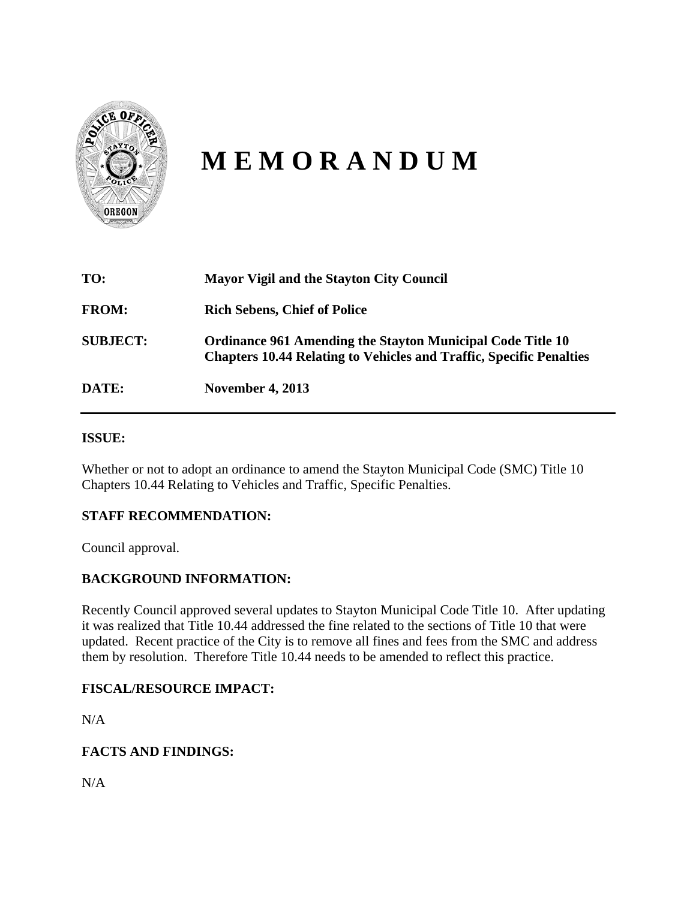

# **M E M O R A N D U M**

| TO:             | <b>Mayor Vigil and the Stayton City Council</b>                                                                                                 |
|-----------------|-------------------------------------------------------------------------------------------------------------------------------------------------|
| <b>FROM:</b>    | <b>Rich Sebens, Chief of Police</b>                                                                                                             |
| <b>SUBJECT:</b> | <b>Ordinance 961 Amending the Stayton Municipal Code Title 10</b><br><b>Chapters 10.44 Relating to Vehicles and Traffic, Specific Penalties</b> |
| DATE:           | <b>November 4, 2013</b>                                                                                                                         |

#### **ISSUE:**

Whether or not to adopt an ordinance to amend the Stayton Municipal Code (SMC) Title 10 Chapters 10.44 Relating to Vehicles and Traffic, Specific Penalties.

#### **STAFF RECOMMENDATION:**

Council approval.

#### **BACKGROUND INFORMATION:**

Recently Council approved several updates to Stayton Municipal Code Title 10. After updating it was realized that Title 10.44 addressed the fine related to the sections of Title 10 that were updated. Recent practice of the City is to remove all fines and fees from the SMC and address them by resolution. Therefore Title 10.44 needs to be amended to reflect this practice.

#### **FISCAL/RESOURCE IMPACT:**

 $N/A$ 

#### **FACTS AND FINDINGS:**

N/A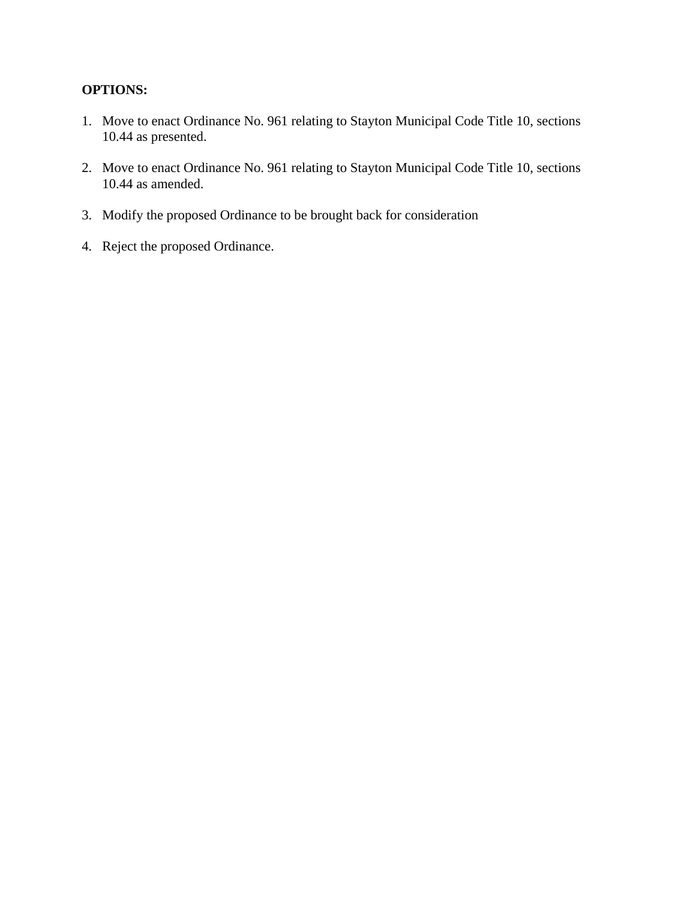# **OPTIONS:**

- 1. Move to enact Ordinance No. 961 relating to Stayton Municipal Code Title 10, sections 10.44 as presented.
- 2. Move to enact Ordinance No. 961 relating to Stayton Municipal Code Title 10, sections 10.44 as amended.
- 3. Modify the proposed Ordinance to be brought back for consideration
- 4. Reject the proposed Ordinance.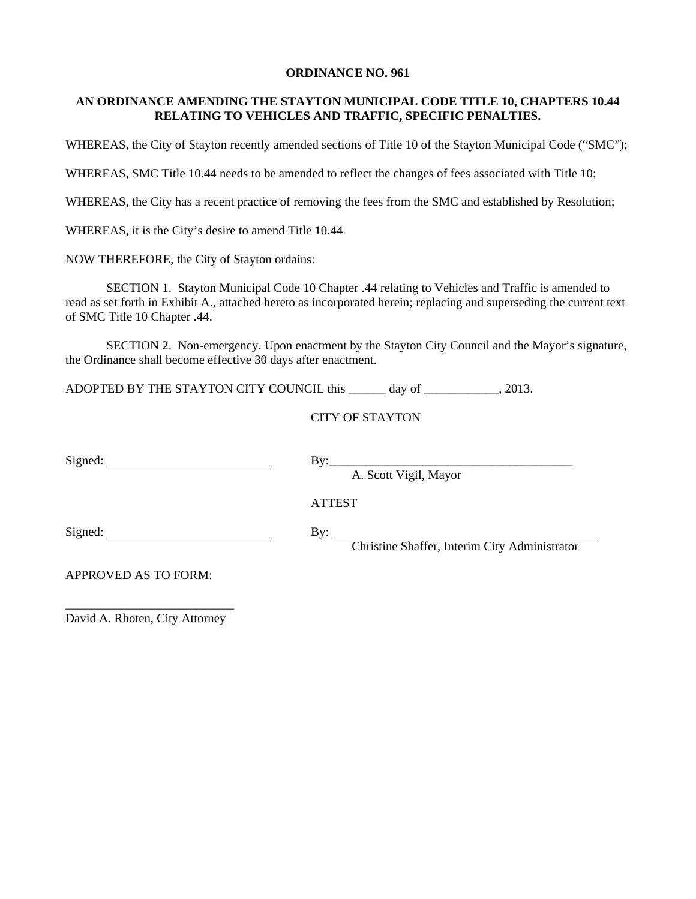#### **ORDINANCE NO. 961**

#### **AN ORDINANCE AMENDING THE STAYTON MUNICIPAL CODE TITLE 10, CHAPTERS 10.44 RELATING TO VEHICLES AND TRAFFIC, SPECIFIC PENALTIES.**

WHEREAS, the City of Stayton recently amended sections of Title 10 of the Stayton Municipal Code ("SMC");

WHEREAS, SMC Title 10.44 needs to be amended to reflect the changes of fees associated with Title 10;

WHEREAS, the City has a recent practice of removing the fees from the SMC and established by Resolution;

WHEREAS, it is the City's desire to amend Title 10.44

NOW THEREFORE, the City of Stayton ordains:

 SECTION 1. Stayton Municipal Code 10 Chapter .44 relating to Vehicles and Traffic is amended to read as set forth in Exhibit A., attached hereto as incorporated herein; replacing and superseding the current text of SMC Title 10 Chapter .44.

 SECTION 2. Non-emergency. Upon enactment by the Stayton City Council and the Mayor's signature, the Ordinance shall become effective 30 days after enactment.

ADOPTED BY THE STAYTON CITY COUNCIL this \_\_\_\_\_\_ day of \_\_\_\_\_\_\_\_\_\_\_\_\_\_\_, 2013.

CITY OF STAYTON

| Signed:                                                                                                                         | $\rm\,By:$<br>A. Scott Vigil, Mayor                             |
|---------------------------------------------------------------------------------------------------------------------------------|-----------------------------------------------------------------|
|                                                                                                                                 | <b>ATTEST</b>                                                   |
| Signed:<br><u> 1980 - Jan Barbara Barbara, prima popular popular popular popular popular popular popular popular popular po</u> | $\mathbf{By:}$<br>Christine Shaffer, Interim City Administrator |

APPROVED AS TO FORM:

\_\_\_\_\_\_\_\_\_\_\_\_\_\_\_\_\_\_\_\_\_\_\_\_\_\_\_ David A. Rhoten, City Attorney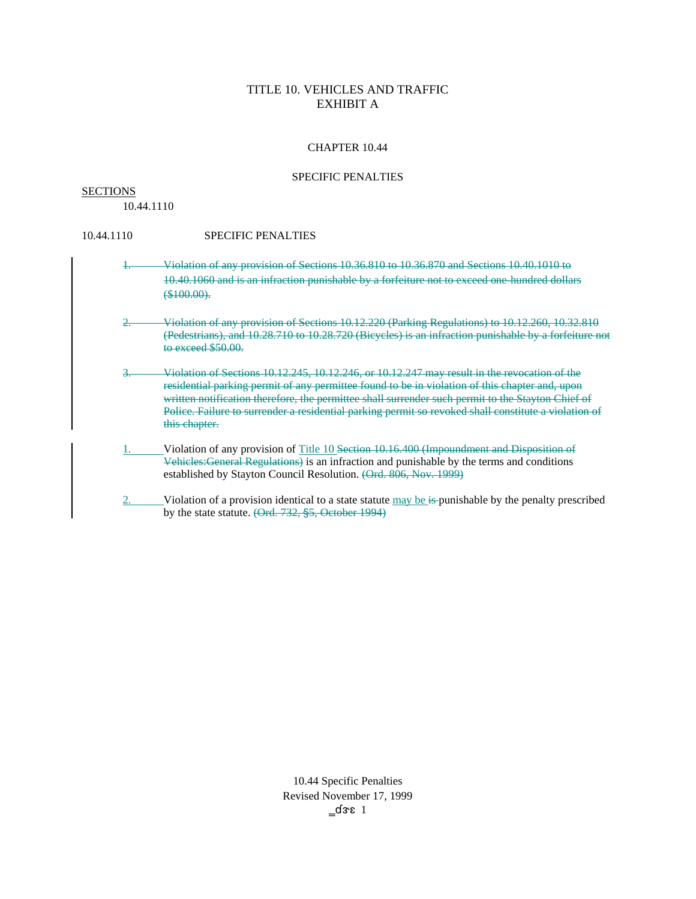#### TITLE 10. VEHICLES AND TRAFFIC EXHIBIT A

#### CHAPTER 10.44

#### SPECIFIC PENALTIES

#### **SECTIONS**

10.44.1110

#### 10.44.1110 SPECIFIC PENALTIES

- 1. Violation of any provision of Sections 10.36.810 to 10.36.870 and Sections 10.40.1010 to 10.40.1060 and is an infraction punishable by a forfeiture not to exceed one-hundred dollars (\$100.00).
- 2. Violation of any provision of Sections 10.12.220 (Parking Regulations) to 10.12.260, 10.32.810 (Pedestrians), and 10.28.710 to 10.28.720 (Bicycles) is an infraction punishable by a forfeiture not to exceed \$50.00.
- 3. Violation of Sections 10.12.245, 10.12.246, or 10.12.247 may result in the revocation of the residential parking permit of any permittee found to be in violation of this chapter and, upon written notification therefore, the permittee shall surrender such permit to the Stayton Chief of Police. Failure to surrender a residential parking permit so revoked shall constitute a violation of this chapter.
- 1. Violation of any provision of Title 10 Section 10.16.400 (Impoundment and Disposition of Vehicles:General Regulations) is an infraction and punishable by the terms and conditions established by Stayton Council Resolution. (Ord. 806, Nov. 1999)
- 2. Violation of a provision identical to a state statute  $\frac{may}{be}$  is-punishable by the penalty prescribed by the state statute.  $(Ord. 732, §5, October 1994)$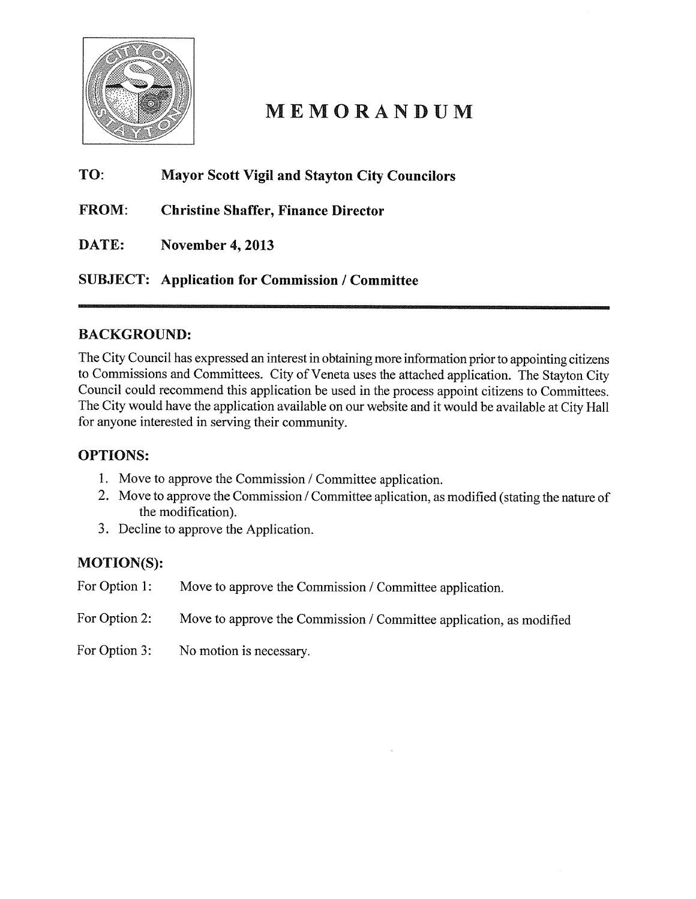

# MEMORANDUM

#### TO: **Mayor Scott Vigil and Stayton City Councilors**

FROM: **Christine Shaffer, Finance Director** 

DATE: **November 4, 2013** 

**SUBJECT:** Application for Commission / Committee

# **BACKGROUND:**

The City Council has expressed an interest in obtaining more information prior to appointing citizens to Commissions and Committees. City of Veneta uses the attached application. The Stayton City Council could recommend this application be used in the process appoint citizens to Committees. The City would have the application available on our website and it would be available at City Hall for anyone interested in serving their community.

# **OPTIONS:**

- 1. Move to approve the Commission / Committee application.
- 2. Move to approve the Commission / Committee aplication, as modified (stating the nature of the modification).
- 3. Decline to approve the Application.

# MOTION(S):

| For Option 1: | Move to approve the Commission / Committee application.             |
|---------------|---------------------------------------------------------------------|
| For Option 2: | Move to approve the Commission / Committee application, as modified |
| For Option 3: | No motion is necessary.                                             |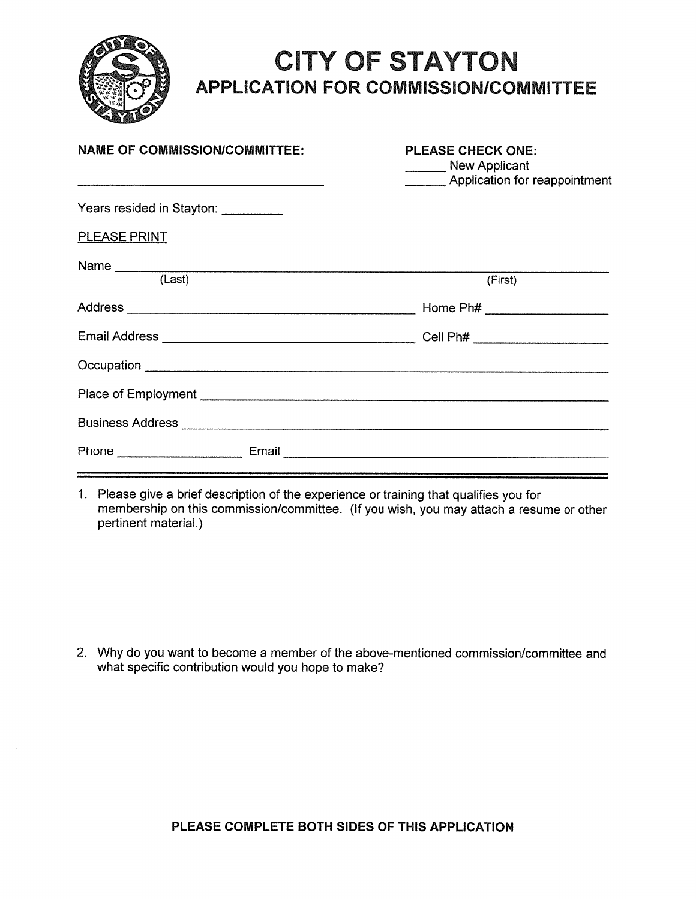

# **CITY OF STAYTON APPLICATION FOR COMMISSION/COMMITTEE**

| <b>NAME OF COMMISSION/COMMITTEE:</b> | <b>PLEASE CHECK ONE:</b><br>New Applicant<br>Application for reappointment |
|--------------------------------------|----------------------------------------------------------------------------|
| Years resided in Stayton: ________   |                                                                            |
| <b>PLEASE PRINT</b>                  |                                                                            |
| (Last)                               | (First)                                                                    |
|                                      |                                                                            |
|                                      |                                                                            |
|                                      |                                                                            |
|                                      |                                                                            |
|                                      |                                                                            |
|                                      |                                                                            |

1. Please give a brief description of the experience or training that qualifies you for<br>membership on this commission/committee. (If you wish, you may attach a resume or other pertinent material.)

2. Why do you want to become a member of the above-mentioned commission/committee and what specific contribution would you hope to make?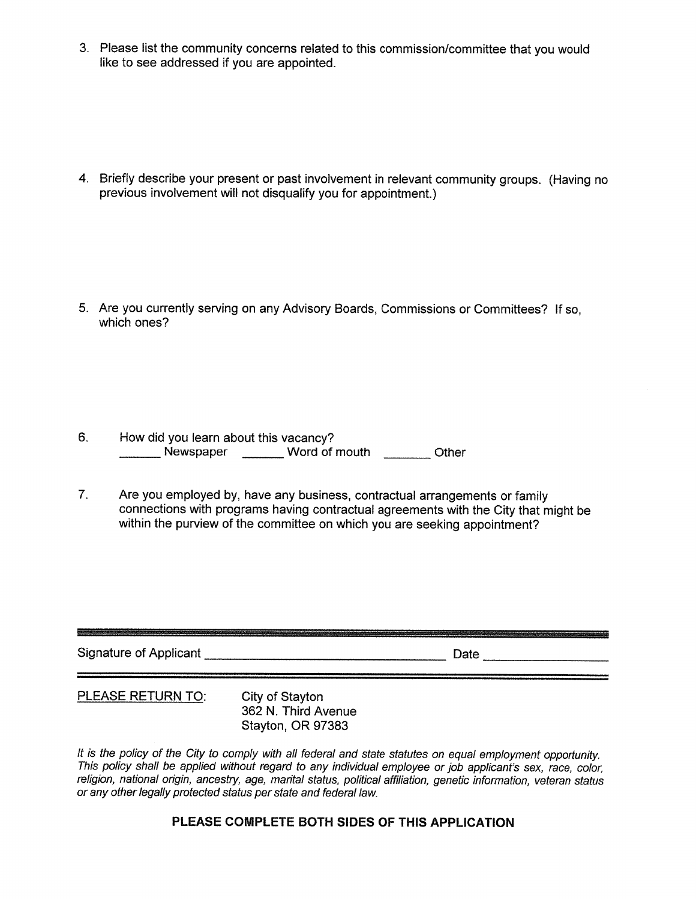3. Please list the community concerns related to this commission/committee that you would like to see addressed if you are appointed.

4. Briefly describe your present or past involvement in relevant community groups. (Having no previous involvement will not disqualify you for appointment.)

5. Are you currently serving on any Advisory Boards, Commissions or Committees? If so, which ones?

- 6. How did you learn about this vacancy? Newspaper Word of mouth Other
- $7<sub>1</sub>$ Are you employed by, have any business, contractual arrangements or family connections with programs having contractual agreements with the City that might be within the purview of the committee on which you are seeking appointment?

| Signature of Applicant | Date                                   |  |  |
|------------------------|----------------------------------------|--|--|
| PLEASE RETURN TO:      | City of Stayton<br>362 N. Third Avenue |  |  |

<u> La Componentación de la Componentación de la Componentación de la Componentación de la Componentación de la Co</u>

It is the policy of the City to comply with all federal and state statutes on equal employment opportunity. This policy shall be applied without regard to any individual employee or job applicant's sex, race, color, religion, national origin, ancestry, age, marital status, political affiliation, genetic information, veteran status or any other legally protected status per state and federal law.

Stayton, OR 97383

#### PLEASE COMPLETE BOTH SIDES OF THIS APPLICATION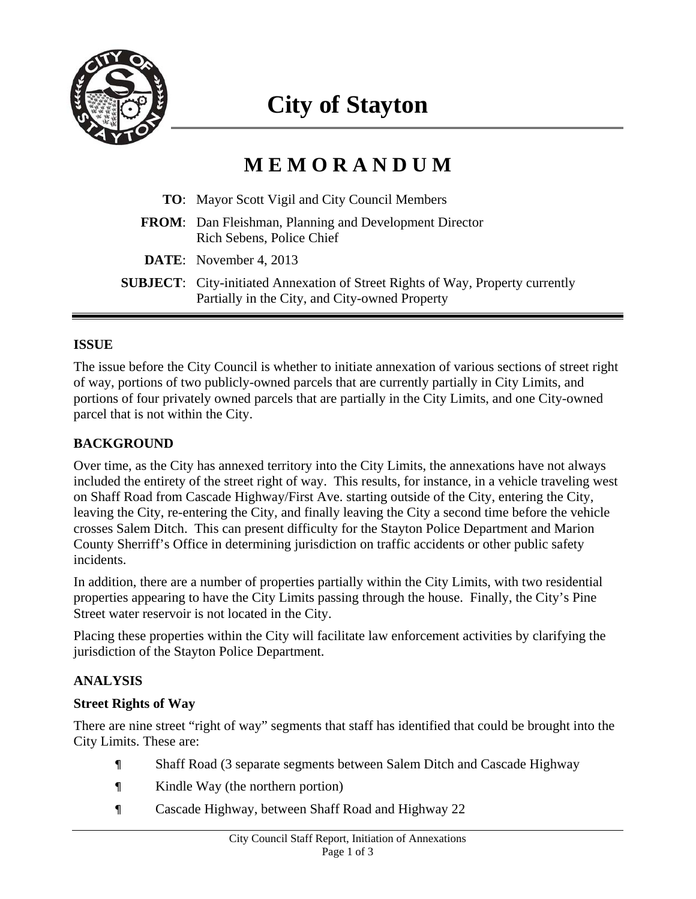

# **City of Stayton**

# **M E M O R A N D U M**

- **TO**: Mayor Scott Vigil and City Council Members
- **FROM:** Dan Fleishman, Planning and Development Director Rich Sebens, Police Chief
- **DATE**: November 4, 2013
- **SUBJECT**: City-initiated Annexation of Street Rights of Way, Property currently Partially in the City, and City-owned Property

# **ISSUE**

The issue before the City Council is whether to initiate annexation of various sections of street right of way, portions of two publicly-owned parcels that are currently partially in City Limits, and portions of four privately owned parcels that are partially in the City Limits, and one City-owned parcel that is not within the City.

# **BACKGROUND**

Over time, as the City has annexed territory into the City Limits, the annexations have not always included the entirety of the street right of way. This results, for instance, in a vehicle traveling west on Shaff Road from Cascade Highway/First Ave. starting outside of the City, entering the City, leaving the City, re-entering the City, and finally leaving the City a second time before the vehicle crosses Salem Ditch. This can present difficulty for the Stayton Police Department and Marion County Sherriff's Office in determining jurisdiction on traffic accidents or other public safety incidents.

In addition, there are a number of properties partially within the City Limits, with two residential properties appearing to have the City Limits passing through the house. Finally, the City's Pine Street water reservoir is not located in the City.

Placing these properties within the City will facilitate law enforcement activities by clarifying the jurisdiction of the Stayton Police Department.

# **ANALYSIS**

# **Street Rights of Way**

There are nine street "right of way" segments that staff has identified that could be brought into the City Limits. These are:

- Shaff Road (3 separate segments between Salem Ditch and Cascade Highway
- Kindle Way (the northern portion)
- Cascade Highway, between Shaff Road and Highway 22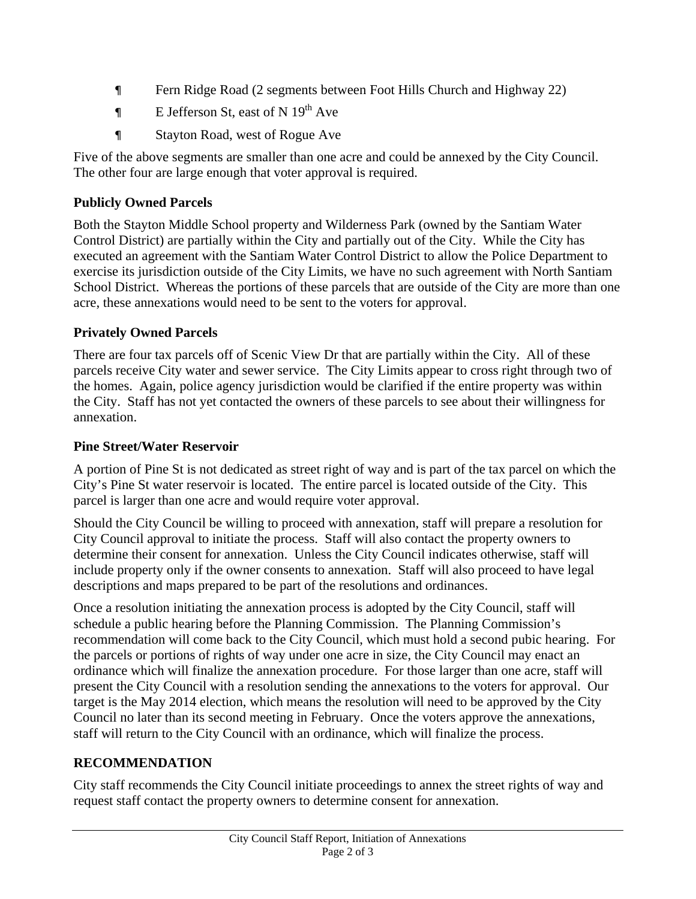- Fern Ridge Road (2 segments between Foot Hills Church and Highway 22)
- E Jefferson St, east of N  $19<sup>th</sup>$  Ave
- Stayton Road, west of Rogue Ave

Five of the above segments are smaller than one acre and could be annexed by the City Council. The other four are large enough that voter approval is required.

# **Publicly Owned Parcels**

Both the Stayton Middle School property and Wilderness Park (owned by the Santiam Water Control District) are partially within the City and partially out of the City. While the City has executed an agreement with the Santiam Water Control District to allow the Police Department to exercise its jurisdiction outside of the City Limits, we have no such agreement with North Santiam School District. Whereas the portions of these parcels that are outside of the City are more than one acre, these annexations would need to be sent to the voters for approval.

# **Privately Owned Parcels**

There are four tax parcels off of Scenic View Dr that are partially within the City. All of these parcels receive City water and sewer service. The City Limits appear to cross right through two of the homes. Again, police agency jurisdiction would be clarified if the entire property was within the City. Staff has not yet contacted the owners of these parcels to see about their willingness for annexation.

# **Pine Street/Water Reservoir**

A portion of Pine St is not dedicated as street right of way and is part of the tax parcel on which the City's Pine St water reservoir is located. The entire parcel is located outside of the City. This parcel is larger than one acre and would require voter approval.

Should the City Council be willing to proceed with annexation, staff will prepare a resolution for City Council approval to initiate the process. Staff will also contact the property owners to determine their consent for annexation. Unless the City Council indicates otherwise, staff will include property only if the owner consents to annexation. Staff will also proceed to have legal descriptions and maps prepared to be part of the resolutions and ordinances.

Once a resolution initiating the annexation process is adopted by the City Council, staff will schedule a public hearing before the Planning Commission. The Planning Commission's recommendation will come back to the City Council, which must hold a second pubic hearing. For the parcels or portions of rights of way under one acre in size, the City Council may enact an ordinance which will finalize the annexation procedure. For those larger than one acre, staff will present the City Council with a resolution sending the annexations to the voters for approval. Our target is the May 2014 election, which means the resolution will need to be approved by the City Council no later than its second meeting in February. Once the voters approve the annexations, staff will return to the City Council with an ordinance, which will finalize the process.

# **RECOMMENDATION**

City staff recommends the City Council initiate proceedings to annex the street rights of way and request staff contact the property owners to determine consent for annexation.